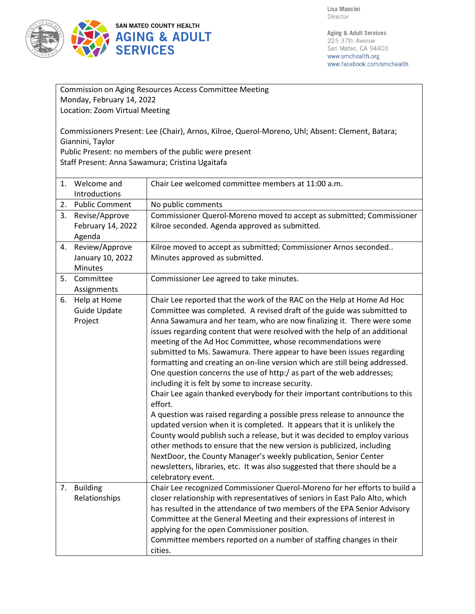

| Commission on Aging Resources Access Committee Meeting                                                                                                                       |                                               |                                                                                                                                                                                                                                                                                                                                                                                                                                                                                                                                                                                                                                                                                                                                                                                                                                                                                                                                                                                                                                                                                                                                                                                                                                               |  |  |
|------------------------------------------------------------------------------------------------------------------------------------------------------------------------------|-----------------------------------------------|-----------------------------------------------------------------------------------------------------------------------------------------------------------------------------------------------------------------------------------------------------------------------------------------------------------------------------------------------------------------------------------------------------------------------------------------------------------------------------------------------------------------------------------------------------------------------------------------------------------------------------------------------------------------------------------------------------------------------------------------------------------------------------------------------------------------------------------------------------------------------------------------------------------------------------------------------------------------------------------------------------------------------------------------------------------------------------------------------------------------------------------------------------------------------------------------------------------------------------------------------|--|--|
| Monday, February 14, 2022                                                                                                                                                    |                                               |                                                                                                                                                                                                                                                                                                                                                                                                                                                                                                                                                                                                                                                                                                                                                                                                                                                                                                                                                                                                                                                                                                                                                                                                                                               |  |  |
| Location: Zoom Virtual Meeting                                                                                                                                               |                                               |                                                                                                                                                                                                                                                                                                                                                                                                                                                                                                                                                                                                                                                                                                                                                                                                                                                                                                                                                                                                                                                                                                                                                                                                                                               |  |  |
| Commissioners Present: Lee (Chair), Arnos, Kilroe, Querol-Moreno, Uhl; Absent: Clement, Batara;<br>Giannini, Taylor<br>Public Present: no members of the public were present |                                               |                                                                                                                                                                                                                                                                                                                                                                                                                                                                                                                                                                                                                                                                                                                                                                                                                                                                                                                                                                                                                                                                                                                                                                                                                                               |  |  |
| Staff Present: Anna Sawamura; Cristina Ugaitafa                                                                                                                              |                                               |                                                                                                                                                                                                                                                                                                                                                                                                                                                                                                                                                                                                                                                                                                                                                                                                                                                                                                                                                                                                                                                                                                                                                                                                                                               |  |  |
|                                                                                                                                                                              | 1. Welcome and<br>Introductions               | Chair Lee welcomed committee members at 11:00 a.m.                                                                                                                                                                                                                                                                                                                                                                                                                                                                                                                                                                                                                                                                                                                                                                                                                                                                                                                                                                                                                                                                                                                                                                                            |  |  |
| 2.                                                                                                                                                                           | <b>Public Comment</b>                         | No public comments                                                                                                                                                                                                                                                                                                                                                                                                                                                                                                                                                                                                                                                                                                                                                                                                                                                                                                                                                                                                                                                                                                                                                                                                                            |  |  |
| 3.                                                                                                                                                                           | Revise/Approve<br>February 14, 2022<br>Agenda | Commissioner Querol-Moreno moved to accept as submitted; Commissioner<br>Kilroe seconded. Agenda approved as submitted.                                                                                                                                                                                                                                                                                                                                                                                                                                                                                                                                                                                                                                                                                                                                                                                                                                                                                                                                                                                                                                                                                                                       |  |  |
| 4.                                                                                                                                                                           | Review/Approve<br>January 10, 2022<br>Minutes | Kilroe moved to accept as submitted; Commissioner Arnos seconded<br>Minutes approved as submitted.                                                                                                                                                                                                                                                                                                                                                                                                                                                                                                                                                                                                                                                                                                                                                                                                                                                                                                                                                                                                                                                                                                                                            |  |  |
| 5.                                                                                                                                                                           | Committee<br>Assignments                      | Commissioner Lee agreed to take minutes.                                                                                                                                                                                                                                                                                                                                                                                                                                                                                                                                                                                                                                                                                                                                                                                                                                                                                                                                                                                                                                                                                                                                                                                                      |  |  |
| 6.                                                                                                                                                                           | Help at Home<br>Guide Update<br>Project       | Chair Lee reported that the work of the RAC on the Help at Home Ad Hoc<br>Committee was completed. A revised draft of the guide was submitted to<br>Anna Sawamura and her team, who are now finalizing it. There were some<br>issues regarding content that were resolved with the help of an additional<br>meeting of the Ad Hoc Committee, whose recommendations were<br>submitted to Ms. Sawamura. There appear to have been issues regarding<br>formatting and creating an on-line version which are still being addressed.<br>One question concerns the use of http:/ as part of the web addresses;<br>including it is felt by some to increase security.<br>Chair Lee again thanked everybody for their important contributions to this<br>effort.<br>A question was raised regarding a possible press release to announce the<br>updated version when it is completed. It appears that it is unlikely the<br>County would publish such a release, but it was decided to employ various<br>other methods to ensure that the new version is publicized, including<br>NextDoor, the County Manager's weekly publication, Senior Center<br>newsletters, libraries, etc. It was also suggested that there should be a<br>celebratory event. |  |  |
| 7.                                                                                                                                                                           | <b>Building</b><br>Relationships              | Chair Lee recognized Commissioner Querol-Moreno for her efforts to build a<br>closer relationship with representatives of seniors in East Palo Alto, which<br>has resulted in the attendance of two members of the EPA Senior Advisory<br>Committee at the General Meeting and their expressions of interest in<br>applying for the open Commissioner position.<br>Committee members reported on a number of staffing changes in their<br>cities.                                                                                                                                                                                                                                                                                                                                                                                                                                                                                                                                                                                                                                                                                                                                                                                             |  |  |